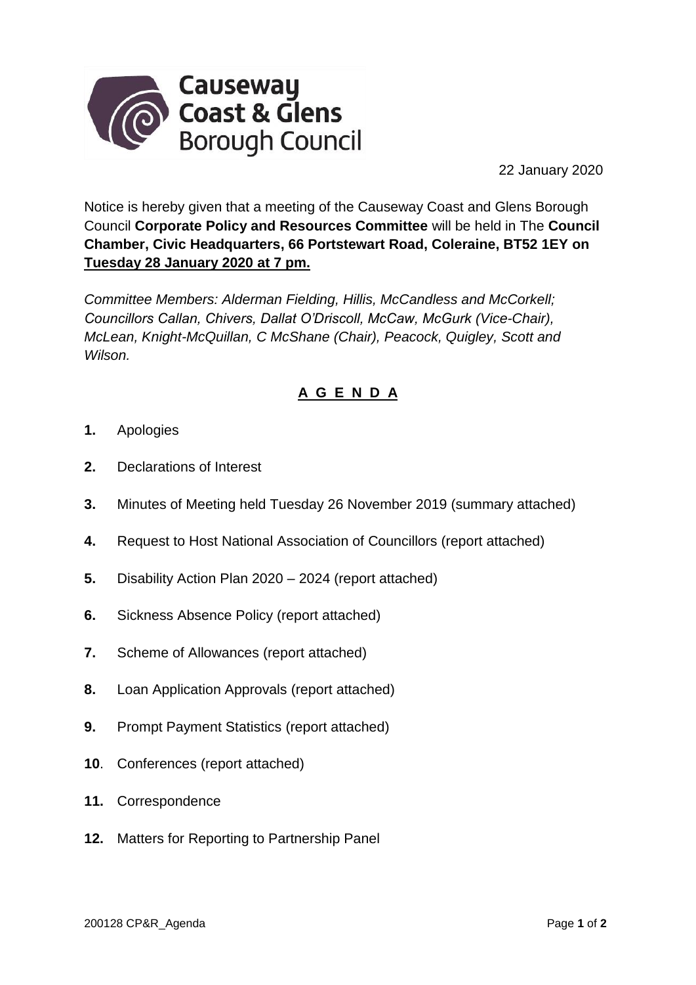

22 January 2020

Notice is hereby given that a meeting of the Causeway Coast and Glens Borough Council **Corporate Policy and Resources Committee** will be held in The **Council Chamber, Civic Headquarters, 66 Portstewart Road, Coleraine, BT52 1EY on Tuesday 28 January 2020 at 7 pm.** 

*Committee Members: Alderman Fielding, Hillis, McCandless and McCorkell; Councillors Callan, Chivers, Dallat O'Driscoll, McCaw, McGurk (Vice-Chair), McLean, Knight-McQuillan, C McShane (Chair), Peacock, Quigley, Scott and Wilson.* 

## **A G E N D A**

- **1.** Apologies
- **2.** Declarations of Interest
- **3.** Minutes of Meeting held Tuesday 26 November 2019 (summary attached)
- **4.** Request to Host National Association of Councillors (report attached)
- **5.** Disability Action Plan 2020 2024 (report attached)
- **6.** Sickness Absence Policy (report attached)
- **7.** Scheme of Allowances (report attached)
- **8.** Loan Application Approvals (report attached)
- **9.** Prompt Payment Statistics (report attached)
- **10**. Conferences (report attached)
- **11.** Correspondence
- **12.** Matters for Reporting to Partnership Panel